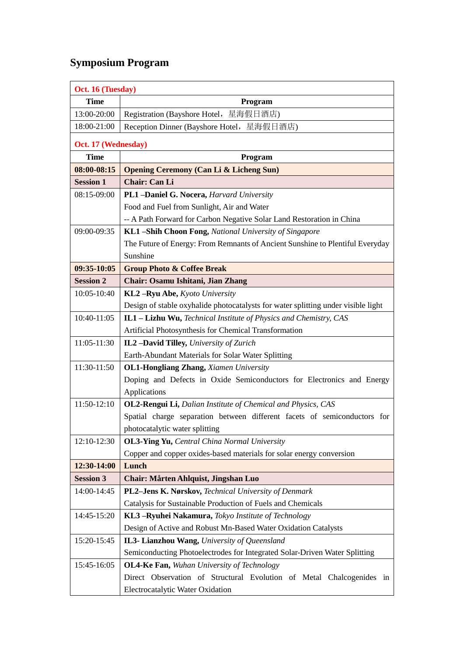## **Symposium Program**

| Oct. 16 (Tuesday)   |                                                                                   |  |
|---------------------|-----------------------------------------------------------------------------------|--|
| <b>Time</b>         | Program                                                                           |  |
| 13:00-20:00         | Registration (Bayshore Hotel, 星海假日酒店)                                             |  |
| 18:00-21:00         | Reception Dinner (Bayshore Hotel, 星海假日酒店)                                         |  |
| Oct. 17 (Wednesday) |                                                                                   |  |
| <b>Time</b>         | Program                                                                           |  |
| 08:00-08:15         | <b>Opening Ceremony (Can Li &amp; Licheng Sun)</b>                                |  |
| <b>Session 1</b>    | <b>Chair: Can Li</b>                                                              |  |
| 08:15-09:00         | PL1-Daniel G. Nocera, Harvard University                                          |  |
|                     | Food and Fuel from Sunlight, Air and Water                                        |  |
|                     | -- A Path Forward for Carbon Negative Solar Land Restoration in China             |  |
| 09:00-09:35         | KL1-Shih Choon Fong, National University of Singapore                             |  |
|                     | The Future of Energy: From Remnants of Ancient Sunshine to Plentiful Everyday     |  |
|                     | Sunshine                                                                          |  |
| 09:35-10:05         | <b>Group Photo &amp; Coffee Break</b>                                             |  |
| <b>Session 2</b>    | Chair: Osamu Ishitani, Jian Zhang                                                 |  |
| 10:05-10:40         | KL2-Ryu Abe, Kyoto University                                                     |  |
|                     | Design of stable oxyhalide photocatalysts for water splitting under visible light |  |
| 10:40-11:05         | IL1 - Lizhu Wu, Technical Institute of Physics and Chemistry, CAS                 |  |
|                     | Artificial Photosynthesis for Chemical Transformation                             |  |
| 11:05-11:30         | IL2-David Tilley, University of Zurich                                            |  |
|                     | Earth-Abundant Materials for Solar Water Splitting                                |  |
| 11:30-11:50         | <b>OL1-Hongliang Zhang, Xiamen University</b>                                     |  |
|                     | Doping and Defects in Oxide Semiconductors for Electronics and Energy             |  |
|                     | Applications                                                                      |  |
| 11:50-12:10         | OL2-Rengui Li, Dalian Institute of Chemical and Physics, CAS                      |  |
|                     | Spatial charge separation between different facets of semiconductors for          |  |
|                     | photocatalytic water splitting                                                    |  |
| 12:10-12:30         | <b>OL3-Ying Yu, Central China Normal University</b>                               |  |
|                     | Copper and copper oxides-based materials for solar energy conversion              |  |
| 12:30-14:00         | Lunch                                                                             |  |
| <b>Session 3</b>    | Chair: Mårten Ahlquist, Jingshan Luo                                              |  |
| 14:00-14:45         | PL2-Jens K. Nørskov, Technical University of Denmark                              |  |
|                     | Catalysis for Sustainable Production of Fuels and Chemicals                       |  |
| 14:45-15:20         | KL3-Ryuhei Nakamura, Tokyo Institute of Technology                                |  |
|                     | Design of Active and Robust Mn-Based Water Oxidation Catalysts                    |  |
| 15:20-15:45         | IL3- Lianzhou Wang, University of Queensland                                      |  |
|                     | Semiconducting Photoelectrodes for Integrated Solar-Driven Water Splitting        |  |
| 15:45-16:05         | <b>OL4-Ke Fan, Wuhan University of Technology</b>                                 |  |
|                     | Direct Observation of Structural Evolution of Metal Chalcogenides in              |  |
|                     | Electrocatalytic Water Oxidation                                                  |  |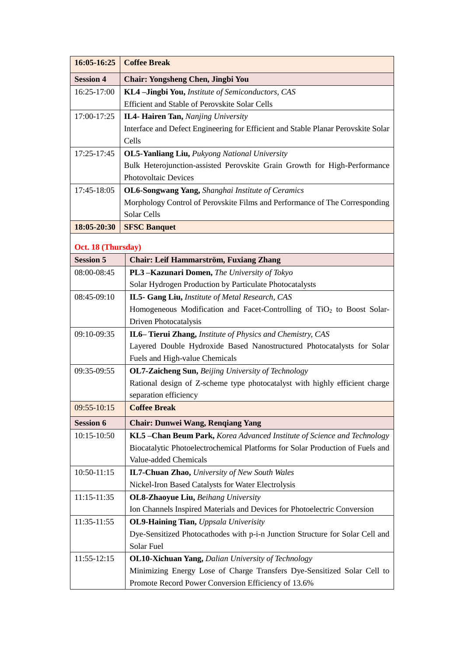| 16:05-16:25        | <b>Coffee Break</b>                                                                |
|--------------------|------------------------------------------------------------------------------------|
| <b>Session 4</b>   | <b>Chair: Yongsheng Chen, Jingbi You</b>                                           |
| 16:25-17:00        | KL4-Jingbi You, Institute of Semiconductors, CAS                                   |
|                    | Efficient and Stable of Perovskite Solar Cells                                     |
| 17:00-17:25        | IL4- Hairen Tan, Nanjing University                                                |
|                    | Interface and Defect Engineering for Efficient and Stable Planar Perovskite Solar  |
|                    | Cells                                                                              |
| 17:25-17:45        | <b>OL5-Yanliang Liu, Pulyong National University</b>                               |
|                    | Bulk Heterojunction-assisted Perovskite Grain Growth for High-Performance          |
|                    | <b>Photovoltaic Devices</b>                                                        |
| 17:45-18:05        | OL6-Songwang Yang, Shanghai Institute of Ceramics                                  |
|                    | Morphology Control of Perovskite Films and Performance of The Corresponding        |
|                    | Solar Cells                                                                        |
| 18:05-20:30        | <b>SFSC Banquet</b>                                                                |
| Oct. 18 (Thursday) |                                                                                    |
| <b>Session 5</b>   | Chair: Leif Hammarstr öm, Fuxiang Zhang                                            |
| 08:00-08:45        | PL3-Kazunari Domen, The University of Tokyo                                        |
|                    | Solar Hydrogen Production by Particulate Photocatalysts                            |
| 08:45-09:10        | IL5- Gang Liu, Institute of Metal Research, CAS                                    |
|                    | Homogeneous Modification and Facet-Controlling of TiO <sub>2</sub> to Boost Solar- |
|                    | Driven Photocatalysis                                                              |
| 09:10-09:35        | IL6–Tierui Zhang, Institute of Physics and Chemistry, CAS                          |
|                    | Layered Double Hydroxide Based Nanostructured Photocatalysts for Solar             |
|                    | Fuels and High-value Chemicals                                                     |
| 09:35-09:55        | <b>OL7-Zaicheng Sun, Beijing University of Technology</b>                          |
|                    | Rational design of Z-scheme type photocatalyst with highly efficient charge        |
|                    | separation efficiency                                                              |
| 09:55-10:15        | <b>Coffee Break</b>                                                                |
| <b>Session 6</b>   | <b>Chair: Dunwei Wang, Renqiang Yang</b>                                           |
| 10:15-10:50        | KL5-Chan Beum Park, Korea Advanced Institute of Science and Technology             |
|                    | Biocatalytic Photoelectrochemical Platforms for Solar Production of Fuels and      |
|                    | Value-added Chemicals                                                              |
| 10:50-11:15        | <b>IL7-Chuan Zhao, University of New South Wales</b>                               |
|                    | Nickel-Iron Based Catalysts for Water Electrolysis                                 |
| 11:15-11:35        | <b>OL8-Zhaoyue Liu, Beihang University</b>                                         |
|                    | Ion Channels Inspired Materials and Devices for Photoelectric Conversion           |
| 11:35-11:55        | <b>OL9-Haining Tian, Uppsala Univerisity</b>                                       |
|                    | Dye-Sensitized Photocathodes with p-i-n Junction Structure for Solar Cell and      |
|                    | Solar Fuel                                                                         |
| 11:55-12:15        | <b>OL10-Xichuan Yang, Dalian University of Technology</b>                          |
|                    | Minimizing Energy Lose of Charge Transfers Dye-Sensitized Solar Cell to            |
|                    | Promote Record Power Conversion Efficiency of 13.6%                                |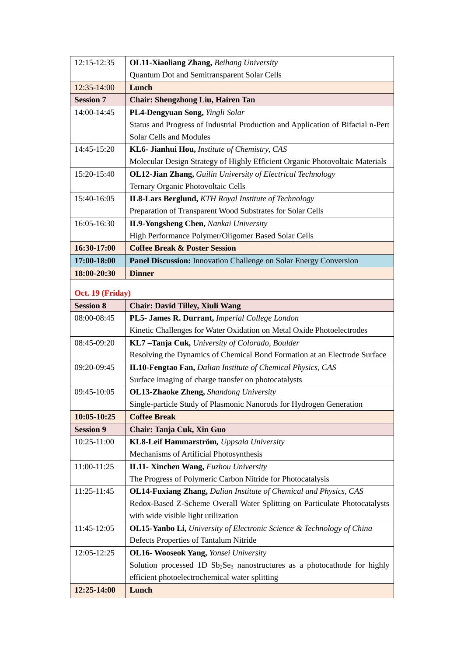| 12:15-12:35      | OL11-Xiaoliang Zhang, Beihang University                                                          |
|------------------|---------------------------------------------------------------------------------------------------|
|                  | Quantum Dot and Semitransparent Solar Cells                                                       |
| 12:35-14:00      | Lunch                                                                                             |
| <b>Session 7</b> | <b>Chair: Shengzhong Liu, Hairen Tan</b>                                                          |
| 14:00-14:45      | PL4-Dengyuan Song, Yingli Solar                                                                   |
|                  | Status and Progress of Industrial Production and Application of Bifacial n-Pert                   |
|                  | Solar Cells and Modules                                                                           |
| 14:45-15:20      | KL6- Jianhui Hou, Institute of Chemistry, CAS                                                     |
|                  | Molecular Design Strategy of Highly Efficient Organic Photovoltaic Materials                      |
| 15:20-15:40      | <b>OL12-Jian Zhang, Guilin University of Electrical Technology</b>                                |
|                  | Ternary Organic Photovoltaic Cells                                                                |
| 15:40-16:05      | <b>IL8-Lars Berglund, KTH Royal Institute of Technology</b>                                       |
|                  | Preparation of Transparent Wood Substrates for Solar Cells                                        |
| 16:05-16:30      | <b>IL9-Yongsheng Chen, Nankai University</b>                                                      |
|                  | High Performance Polymer/Oligomer Based Solar Cells                                               |
| 16:30-17:00      | <b>Coffee Break &amp; Poster Session</b>                                                          |
| 17:00-18:00      | Panel Discussion: Innovation Challenge on Solar Energy Conversion                                 |
| 18:00-20:30      | <b>Dinner</b>                                                                                     |
| Oct. 19 (Friday) |                                                                                                   |
| <b>Session 8</b> | <b>Chair: David Tilley, Xiuli Wang</b>                                                            |
| 08:00-08:45      | PL5- James R. Durrant, Imperial College London                                                    |
|                  | Kinetic Challenges for Water Oxidation on Metal Oxide Photoelectrodes                             |
| 08:45-09:20      | KL7-Tanja Cuk, University of Colorado, Boulder                                                    |
|                  | Resolving the Dynamics of Chemical Bond Formation at an Electrode Surface                         |
| 09:20-09:45      | IL10-Fengtao Fan, Dalian Institute of Chemical Physics, CAS                                       |
|                  | Surface imaging of charge transfer on photocatalysts                                              |
| 09:45-10:05      | <b>OL13-Zhaoke Zheng, Shandong University</b>                                                     |
|                  | Single-particle Study of Plasmonic Nanorods for Hydrogen Generation                               |
| 10:05-10:25      | <b>Coffee Break</b>                                                                               |
| <b>Session 9</b> | Chair: Tanja Cuk, Xin Guo                                                                         |
| 10:25-11:00      | KL8-Leif Hammarstr öm, Uppsala University                                                         |
|                  | Mechanisms of Artificial Photosynthesis                                                           |
| 11:00-11:25      | IL11- Xinchen Wang, Fuzhou University                                                             |
|                  | The Progress of Polymeric Carbon Nitride for Photocatalysis                                       |
| 11:25-11:45      | OL14-Fuxiang Zhang, Dalian Institute of Chemical and Physics, CAS                                 |
|                  | Redox-Based Z-Scheme Overall Water Splitting on Particulate Photocatalysts                        |
|                  | with wide visible light utilization                                                               |
| 11:45-12:05      | OL15-Yanbo Li, University of Electronic Science & Technology of China                             |
|                  | Defects Properties of Tantalum Nitride                                                            |
| 12:05-12:25      | <b>OL16- Wooseok Yang, Yonsei University</b>                                                      |
|                  | Solution processed 1D Sb <sub>2</sub> Se <sub>3</sub> nanostructures as a photocathode for highly |
|                  | efficient photoelectrochemical water splitting                                                    |
| 12:25-14:00      | Lunch                                                                                             |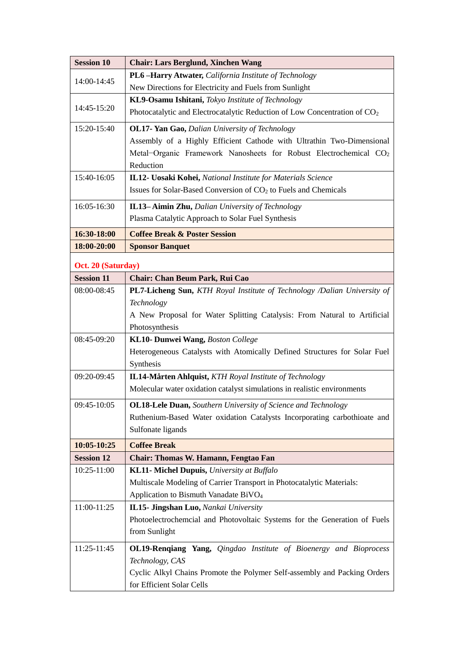| <b>Session 10</b>  | <b>Chair: Lars Berglund, Xinchen Wang</b>                                             |
|--------------------|---------------------------------------------------------------------------------------|
| 14:00-14:45        | PL6-Harry Atwater, California Institute of Technology                                 |
|                    | New Directions for Electricity and Fuels from Sunlight                                |
|                    | KL9-Osamu Ishitani, Tokyo Institute of Technology                                     |
| 14:45-15:20        | Photocatalytic and Electrocatalytic Reduction of Low Concentration of CO <sub>2</sub> |
| 15:20-15:40        | <b>OL17- Yan Gao, Dalian University of Technology</b>                                 |
|                    | Assembly of a Highly Efficient Cathode with Ultrathin Two-Dimensional                 |
|                    | Metal-Organic Framework Nanosheets for Robust Electrochemical CO <sub>2</sub>         |
|                    | Reduction                                                                             |
| 15:40-16:05        | IL12- Uosaki Kohei, National Institute for Materials Science                          |
|                    | Issues for Solar-Based Conversion of CO <sub>2</sub> to Fuels and Chemicals           |
| 16:05-16:30        | IL13-Aimin Zhu, Dalian University of Technology                                       |
|                    | Plasma Catalytic Approach to Solar Fuel Synthesis                                     |
| 16:30-18:00        | <b>Coffee Break &amp; Poster Session</b>                                              |
| 18:00-20:00        | <b>Sponsor Banquet</b>                                                                |
| Oct. 20 (Saturday) |                                                                                       |
| <b>Session 11</b>  | Chair: Chan Beum Park, Rui Cao                                                        |
| 08:00-08:45        | PL7-Licheng Sun, KTH Royal Institute of Technology /Dalian University of              |
|                    | Technology                                                                            |
|                    | A New Proposal for Water Splitting Catalysis: From Natural to Artificial              |
|                    | Photosynthesis                                                                        |
| 08:45-09:20        | KL10- Dunwei Wang, Boston College                                                     |
|                    | Heterogeneous Catalysts with Atomically Defined Structures for Solar Fuel             |
|                    | Synthesis                                                                             |
| 09:20-09:45        | IL14-M årten Ahlquist, KTH Royal Institute of Technology                              |
|                    | Molecular water oxidation catalyst simulations in realistic environments              |
| 09:45-10:05        | <b>OL18-Lele Duan, Southern University of Science and Technology</b>                  |
|                    | Ruthenium-Based Water oxidation Catalysts Incorporating carbothioate and              |
|                    | Sulfonate ligands                                                                     |
| $10:05 - 10:25$    | <b>Coffee Break</b>                                                                   |
| <b>Session 12</b>  | Chair: Thomas W. Hamann, Fengtao Fan                                                  |
| 10:25-11:00        | <b>KL11- Michel Dupuis, University at Buffalo</b>                                     |
|                    | Multiscale Modeling of Carrier Transport in Photocatalytic Materials:                 |
|                    | Application to Bismuth Vanadate BiVO <sub>4</sub>                                     |
| 11:00-11:25        | IL15- Jingshan Luo, Nankai University                                                 |
|                    | Photoelectrochemcial and Photovoltaic Systems for the Generation of Fuels             |
|                    | from Sunlight                                                                         |
| 11:25-11:45        | OL19-Rengiang Yang, Qingdao Institute of Bioenergy and Bioprocess                     |
|                    | Technology, CAS                                                                       |
|                    | Cyclic Alkyl Chains Promote the Polymer Self-assembly and Packing Orders              |
|                    | for Efficient Solar Cells                                                             |